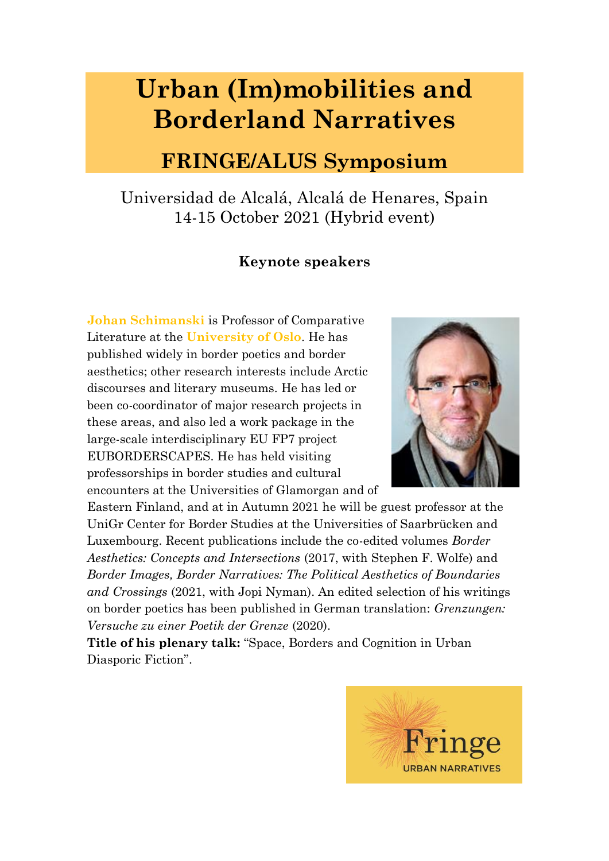## **Urban (Im)mobilities and Borderland Narratives**

## **FRINGE/ALUS Symposium**

Universidad de Alcalá, Alcalá de Henares, Spain 14-15 October 2021 (Hybrid event)

## **Keynote speakers**

**Johan Schimanski** is Professor of Comparative Literature at the **University of Oslo**. He has published widely in border poetics and border aesthetics; other research interests include Arctic discourses and literary museums. He has led or been co-coordinator of major research projects in these areas, and also led a work package in the large-scale interdisciplinary EU FP7 project EUBORDERSCAPES. He has held visiting professorships in border studies and cultural encounters at the Universities of Glamorgan and of



Eastern Finland, and at in Autumn 2021 he will be guest professor at the UniGr Center for Border Studies at the Universities of Saarbrücken and Luxembourg. Recent publications include the co-edited volumes *Border Aesthetics: Concepts and Intersections* (2017, with Stephen F. Wolfe) and *Border Images, Border Narratives: The Political Aesthetics of Boundaries and Crossings* (2021, with Jopi Nyman). An edited selection of his writings on border poetics has been published in German translation: *Grenzungen: Versuche zu einer Poetik der Grenze* (2020).

**Title of his plenary talk:** "Space, Borders and Cognition in Urban Diasporic Fiction".

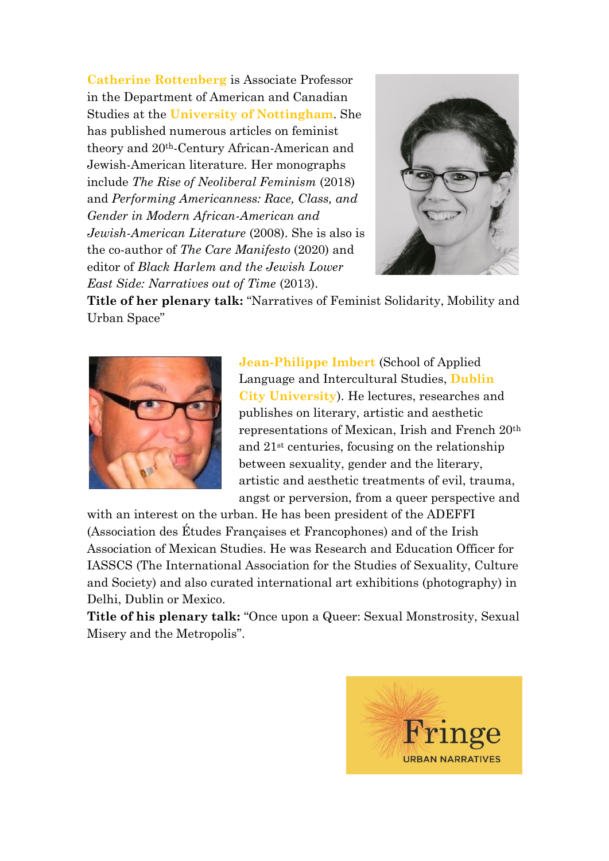**Catherine Rottenberg** is Associate Professor in the Department of American and Canadian Studies at the **University of Nottingham**. She has published numerous articles on feminist theory and 20th-Century African-American and Jewish-American literature. Her monographs include *The Rise of Neoliberal Feminism* (2018) and *Performing Americanness: Race, Class, and Gender in Modern African-American and Jewish-American Literature* (2008). She is also is the co-author of *The Care Manifesto* (2020) and editor of *Black Harlem and the Jewish Lower East Side: Narratives out of Time* (2013).



**Title of her plenary talk:** "Narratives of Feminist Solidarity, Mobility and Urban Space"



**Jean-Philippe Imbert** (School of Applied Language and Intercultural Studies, **Dublin City University**). He lectures, researches and publishes on literary, artistic and aesthetic representations of Mexican, Irish and French 20th and 21st centuries, focusing on the relationship between sexuality, gender and the literary, artistic and aesthetic treatments of evil, trauma, angst or perversion, from a queer perspective and

with an interest on the urban. He has been president of the ADEFFI (Association des Études Françaises et Francophones) and of the Irish Association of Mexican Studies. He was Research and Education Officer for IASSCS (The International Association for the Studies of Sexuality, Culture and Society) and also curated international art exhibitions (photography) in Delhi, Dublin or Mexico.

**Title of his plenary talk:** "Once upon a Queer: Sexual Monstrosity, Sexual Misery and the Metropolis".